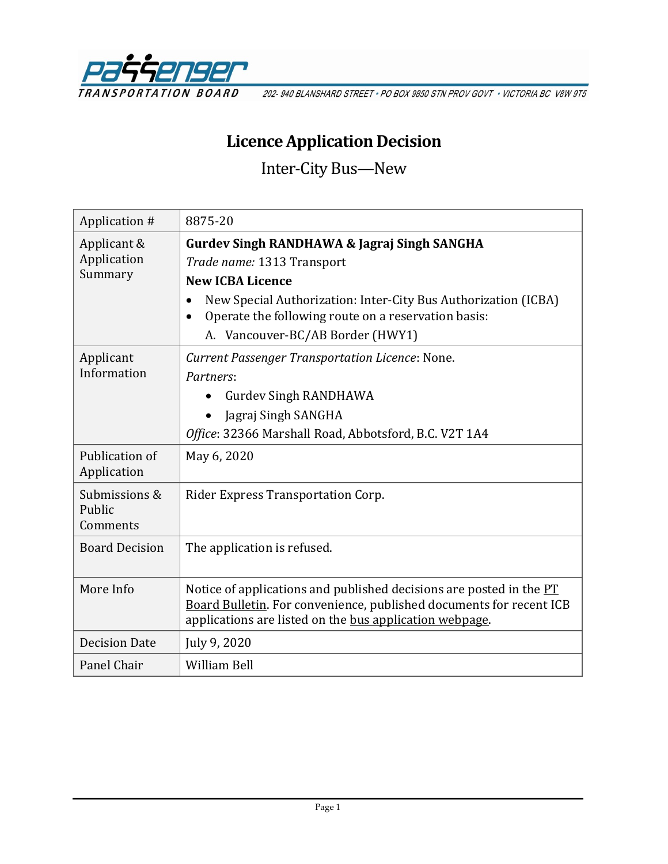

202-940 BLANSHARD STREET · PO BOX 9850 STN PROV GOVT · VICTORIA BC V8W 9T5

# **Licence Application Decision**

Inter-City Bus—New

| Application #                         | 8875-20                                                                                                                                                                                                                                  |
|---------------------------------------|------------------------------------------------------------------------------------------------------------------------------------------------------------------------------------------------------------------------------------------|
| Applicant &<br>Application<br>Summary | <b>Gurdev Singh RANDHAWA &amp; Jagraj Singh SANGHA</b><br>Trade name: 1313 Transport<br><b>New ICBA Licence</b><br>New Special Authorization: Inter-City Bus Authorization (ICBA)<br>Operate the following route on a reservation basis: |
| Applicant<br>Information              | A. Vancouver-BC/AB Border (HWY1)<br><b>Current Passenger Transportation Licence: None.</b><br>Partners:<br><b>Gurdey Singh RANDHAWA</b><br>Jagraj Singh SANGHA<br>Office: 32366 Marshall Road, Abbotsford, B.C. V2T 1A4                  |
| Publication of<br>Application         | May 6, 2020                                                                                                                                                                                                                              |
| Submissions &<br>Public<br>Comments   | Rider Express Transportation Corp.                                                                                                                                                                                                       |
| <b>Board Decision</b>                 | The application is refused.                                                                                                                                                                                                              |
| More Info                             | Notice of applications and published decisions are posted in the PT<br>Board Bulletin. For convenience, published documents for recent ICB<br>applications are listed on the bus application webpage.                                    |
| <b>Decision Date</b>                  | July 9, 2020                                                                                                                                                                                                                             |
| Panel Chair                           | <b>William Bell</b>                                                                                                                                                                                                                      |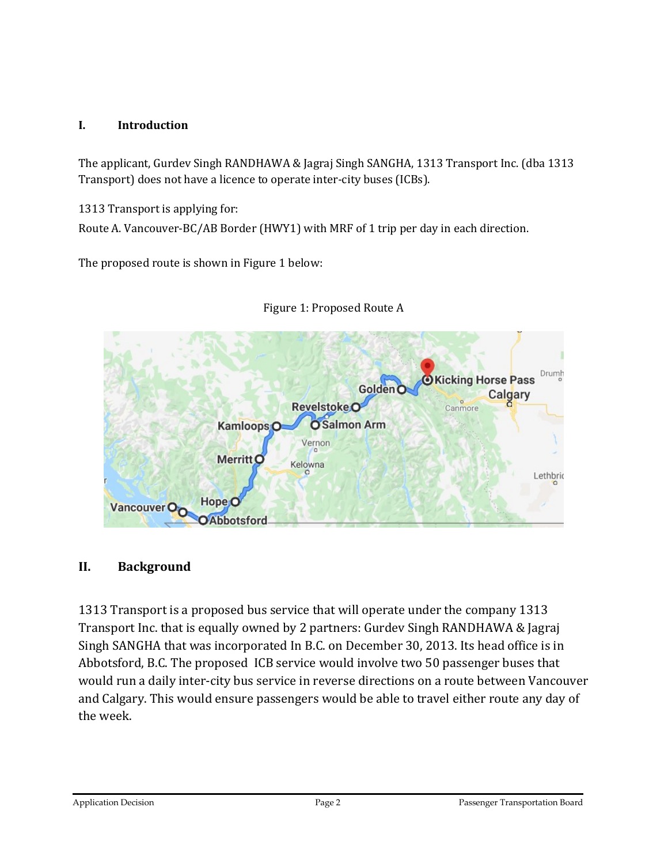#### **I. Introduction**

The applicant, Gurdev Singh RANDHAWA & Jagraj Singh SANGHA, 1313 Transport Inc. (dba 1313 Transport) does not have a licence to operate inter-city buses (ICBs).

1313 Transport is applying for:

Route A. Vancouver-BC/AB Border (HWY1) with MRF of 1 trip per day in each direction.

The proposed route is shown in Figure 1 below:



Figure 1: Proposed Route A

#### **II. Background**

1313 Transport is a proposed bus service that will operate under the company 1313 Transport Inc. that is equally owned by 2 partners: Gurdev Singh RANDHAWA & Jagraj Singh SANGHA that was incorporated In B.C. on December 30, 2013. Its head office is in Abbotsford, B.C. The proposed ICB service would involve two 50 passenger buses that would run a daily inter-city bus service in reverse directions on a route between Vancouver and Calgary. This would ensure passengers would be able to travel either route any day of the week.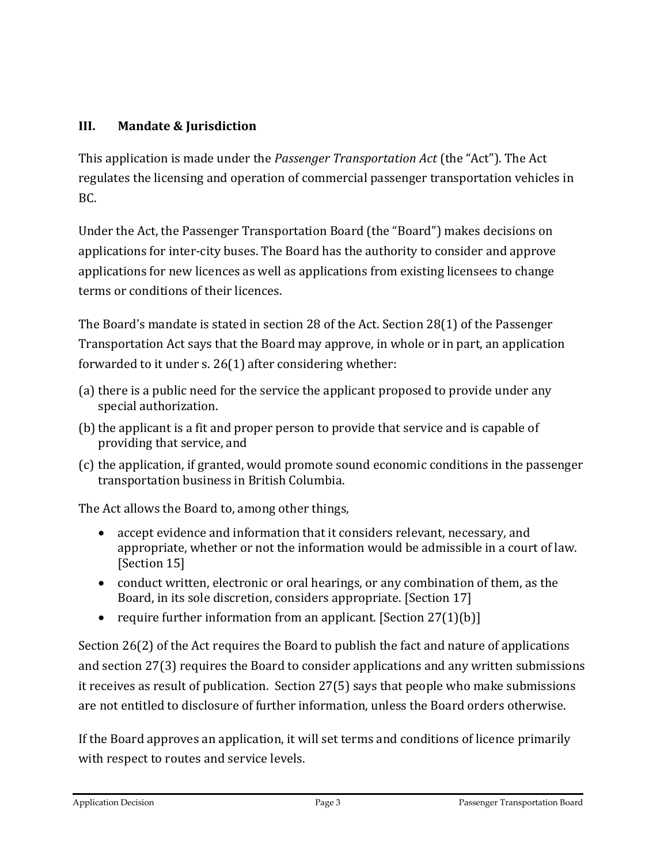## **III. Mandate & Jurisdiction**

This application is made under the *Passenger Transportation Act* (the "Act"). The Act regulates the licensing and operation of commercial passenger transportation vehicles in BC.

Under the Act, the Passenger Transportation Board (the "Board") makes decisions on applications for inter-city buses. The Board has the authority to consider and approve applications for new licences as well as applications from existing licensees to change terms or conditions of their licences.

The Board's mandate is stated in section 28 of the Act. Section 28(1) of the Passenger Transportation Act says that the Board may approve, in whole or in part, an application forwarded to it under s. 26(1) after considering whether:

- (a) there is a public need for the service the applicant proposed to provide under any special authorization.
- (b) the applicant is a fit and proper person to provide that service and is capable of providing that service, and
- (c) the application, if granted, would promote sound economic conditions in the passenger transportation business in British Columbia.

The Act allows the Board to, among other things,

- accept evidence and information that it considers relevant, necessary, and appropriate, whether or not the information would be admissible in a court of law. [Section 15]
- conduct written, electronic or oral hearings, or any combination of them, as the Board, in its sole discretion, considers appropriate. [Section 17]
- require further information from an applicant. [Section  $27(1)(b)$ ]

Section 26(2) of the Act requires the Board to publish the fact and nature of applications and section 27(3) requires the Board to consider applications and any written submissions it receives as result of publication. Section 27(5) says that people who make submissions are not entitled to disclosure of further information, unless the Board orders otherwise.

If the Board approves an application, it will set terms and conditions of licence primarily with respect to routes and service levels.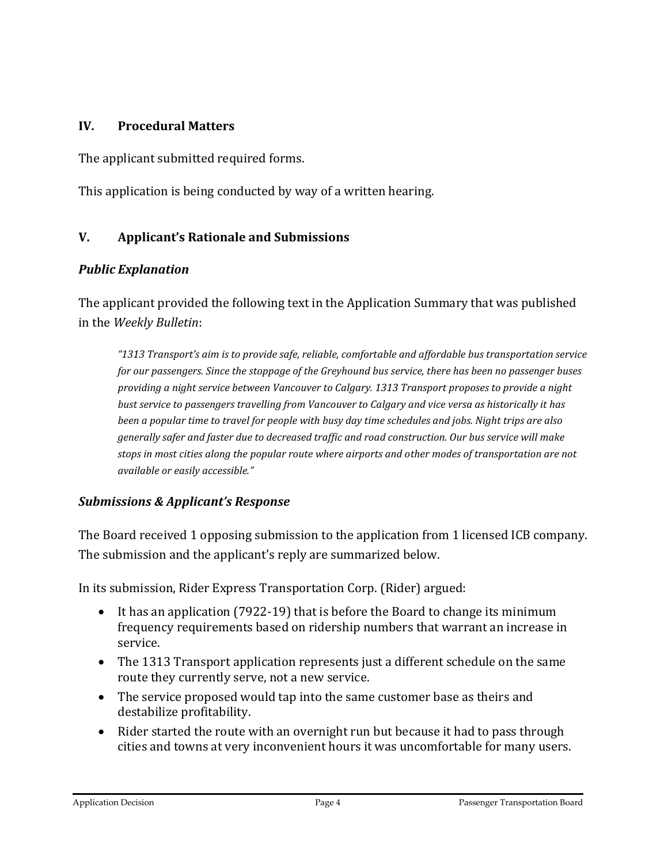#### **IV. Procedural Matters**

The applicant submitted required forms.

This application is being conducted by way of a written hearing.

#### **V. Applicant's Rationale and Submissions**

#### *Public Explanation*

The applicant provided the following text in the Application Summary that was published in the *Weekly Bulletin*:

*"1313 Transport's aim is to provide safe, reliable, comfortable and affordable bus transportation service for our passengers. Since the stoppage of the Greyhound bus service, there has been no passenger buses providing a night service between Vancouver to Calgary. 1313 Transport proposes to provide a night bust service to passengers travelling from Vancouver to Calgary and vice versa as historically it has been a popular time to travel for people with busy day time schedules and jobs. Night trips are also generally safer and faster due to decreased traffic and road construction. Our bus service will make stops in most cities along the popular route where airports and other modes of transportation are not available or easily accessible."*

#### *Submissions & Applicant's Response*

The Board received 1 opposing submission to the application from 1 licensed ICB company. The submission and the applicant's reply are summarized below.

In its submission, Rider Express Transportation Corp. (Rider) argued:

- It has an application (7922-19) that is before the Board to change its minimum frequency requirements based on ridership numbers that warrant an increase in service.
- The 1313 Transport application represents just a different schedule on the same route they currently serve, not a new service.
- The service proposed would tap into the same customer base as theirs and destabilize profitability.
- Rider started the route with an overnight run but because it had to pass through cities and towns at very inconvenient hours it was uncomfortable for many users.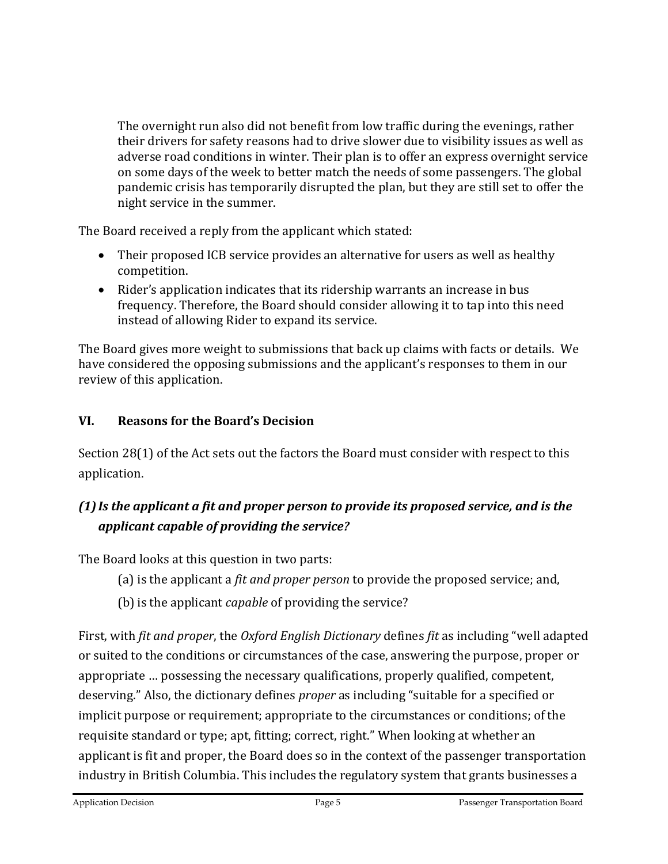The overnight run also did not benefit from low traffic during the evenings, rather their drivers for safety reasons had to drive slower due to visibility issues as well as adverse road conditions in winter. Their plan is to offer an express overnight service on some days of the week to better match the needs of some passengers. The global pandemic crisis has temporarily disrupted the plan, but they are still set to offer the night service in the summer.

The Board received a reply from the applicant which stated:

- Their proposed ICB service provides an alternative for users as well as healthy competition.
- Rider's application indicates that its ridership warrants an increase in bus frequency. Therefore, the Board should consider allowing it to tap into this need instead of allowing Rider to expand its service.

The Board gives more weight to submissions that back up claims with facts or details. We have considered the opposing submissions and the applicant's responses to them in our review of this application.

### **VI. Reasons for the Board's Decision**

Section 28(1) of the Act sets out the factors the Board must consider with respect to this application.

# *(1)Is the applicant a fit and proper person to provide its proposed service, and is the applicant capable of providing the service?*

The Board looks at this question in two parts:

- (a) is the applicant a *fit and proper person* to provide the proposed service; and,
- (b) is the applicant *capable* of providing the service?

First, with *fit and proper*, the *Oxford English Dictionary* defines *fit* as including "well adapted or suited to the conditions or circumstances of the case, answering the purpose, proper or appropriate … possessing the necessary qualifications, properly qualified, competent, deserving." Also, the dictionary defines *proper* as including "suitable for a specified or implicit purpose or requirement; appropriate to the circumstances or conditions; of the requisite standard or type; apt, fitting; correct, right." When looking at whether an applicant is fit and proper, the Board does so in the context of the passenger transportation industry in British Columbia. This includes the regulatory system that grants businesses a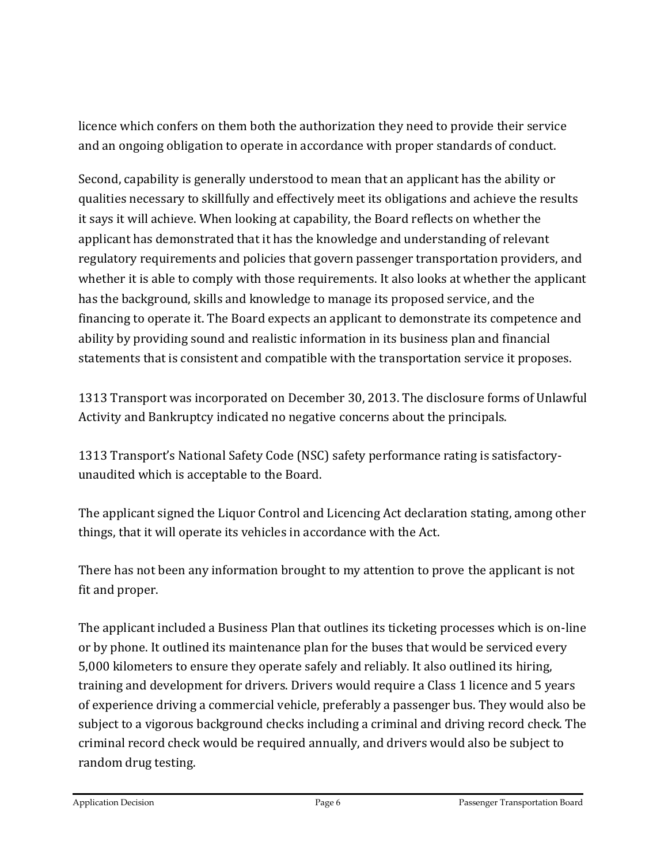licence which confers on them both the authorization they need to provide their service and an ongoing obligation to operate in accordance with proper standards of conduct.

Second, capability is generally understood to mean that an applicant has the ability or qualities necessary to skillfully and effectively meet its obligations and achieve the results it says it will achieve. When looking at capability, the Board reflects on whether the applicant has demonstrated that it has the knowledge and understanding of relevant regulatory requirements and policies that govern passenger transportation providers, and whether it is able to comply with those requirements. It also looks at whether the applicant has the background, skills and knowledge to manage its proposed service, and the financing to operate it. The Board expects an applicant to demonstrate its competence and ability by providing sound and realistic information in its business plan and financial statements that is consistent and compatible with the transportation service it proposes.

1313 Transport was incorporated on December 30, 2013. The disclosure forms of Unlawful Activity and Bankruptcy indicated no negative concerns about the principals.

1313 Transport's National Safety Code (NSC) safety performance rating is satisfactoryunaudited which is acceptable to the Board.

The applicant signed the Liquor Control and Licencing Act declaration stating, among other things, that it will operate its vehicles in accordance with the Act.

There has not been any information brought to my attention to prove the applicant is not fit and proper.

The applicant included a Business Plan that outlines its ticketing processes which is on-line or by phone. It outlined its maintenance plan for the buses that would be serviced every 5,000 kilometers to ensure they operate safely and reliably. It also outlined its hiring, training and development for drivers. Drivers would require a Class 1 licence and 5 years of experience driving a commercial vehicle, preferably a passenger bus. They would also be subject to a vigorous background checks including a criminal and driving record check. The criminal record check would be required annually, and drivers would also be subject to random drug testing.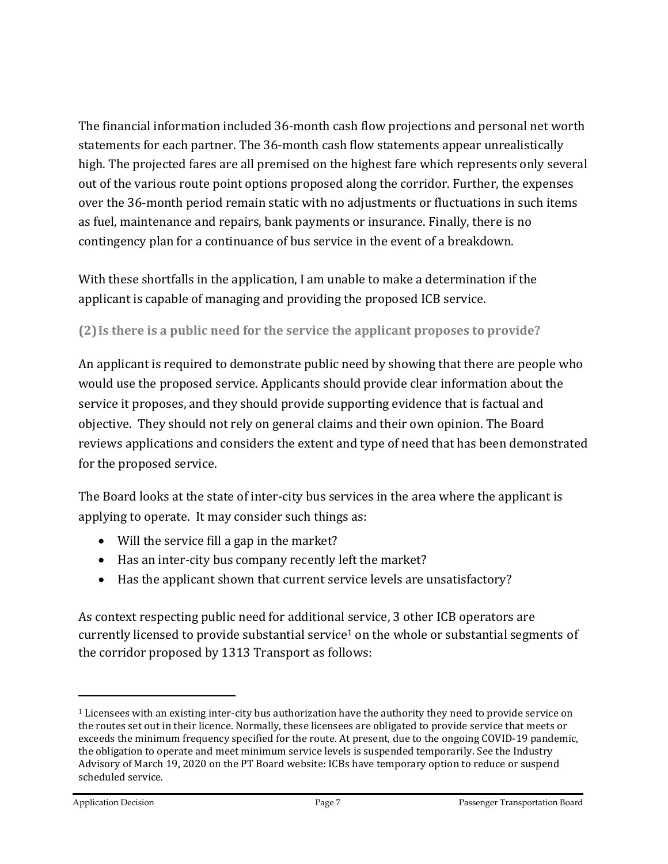The financial information included 36-month cash flow projections and personal net worth statements for each partner. The 36-month cash flow statements appear unrealistically high. The projected fares are all premised on the highest fare which represents only several out of the various route point options proposed along the corridor. Further, the expenses over the 36-month period remain static with no adjustments or fluctuations in such items as fuel, maintenance and repairs, bank payments or insurance. Finally, there is no contingency plan for a continuance of bus service in the event of a breakdown.

With these shortfalls in the application, I am unable to make a determination if the applicant is capable of managing and providing the proposed ICB service.

### **(2)Is there is a public need for the service the applicant proposes to provide?**

An applicant is required to demonstrate public need by showing that there are people who would use the proposed service. Applicants should provide clear information about the service it proposes, and they should provide supporting evidence that is factual and objective. They should not rely on general claims and their own opinion. The Board reviews applications and considers the extent and type of need that has been demonstrated for the proposed service.

The Board looks at the state of inter-city bus services in the area where the applicant is applying to operate. It may consider such things as:

- Will the service fill a gap in the market?
- Has an inter-city bus company recently left the market?
- Has the applicant shown that current service levels are unsatisfactory?

As context respecting public need for additional service, 3 other ICB operators are currently licensed to provide substantial service<sup>1</sup> on the whole or substantial segments of the corridor proposed by 1313 Transport as follows:

 $\overline{a}$ 

<sup>&</sup>lt;sup>1</sup> Licensees with an existing inter-city bus authorization have the authority they need to provide service on the routes set out in their licence. Normally, these licensees are obligated to provide service that meets or exceeds the minimum frequency specified for the route. At present, due to the ongoing COVID-19 pandemic, the obligation to operate and meet minimum service levels is suspended temporarily. See the Industry Advisory of March 19, 2020 on the PT Board website: ICBs have temporary option to reduce or suspend scheduled service.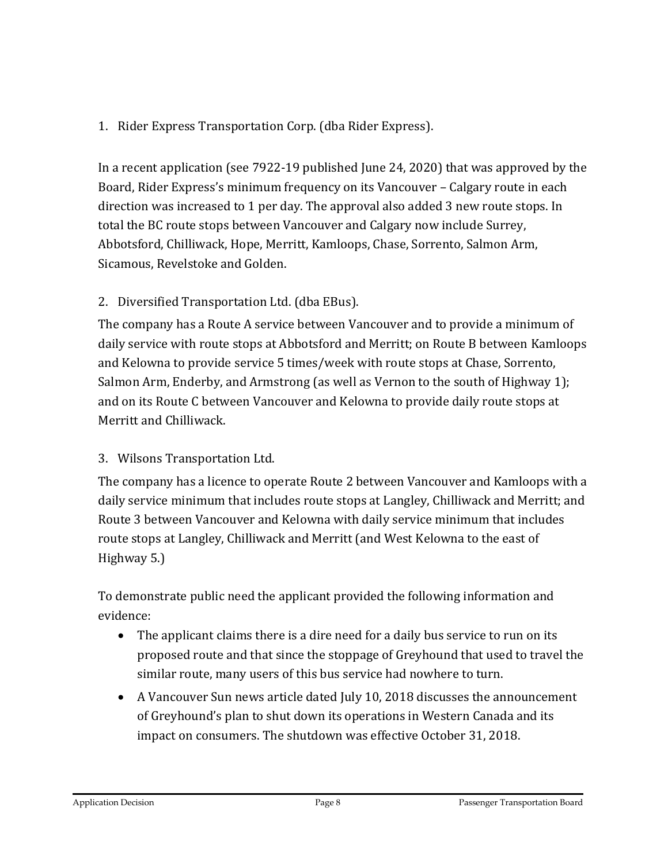## 1. Rider Express Transportation Corp. (dba Rider Express).

In a recent application (see 7922-19 published June 24, 2020) that was approved by the Board, Rider Express's minimum frequency on its Vancouver – Calgary route in each direction was increased to 1 per day. The approval also added 3 new route stops. In total the BC route stops between Vancouver and Calgary now include Surrey, Abbotsford, Chilliwack, Hope, Merritt, Kamloops, Chase, Sorrento, Salmon Arm, Sicamous, Revelstoke and Golden.

### 2. Diversified Transportation Ltd. (dba EBus).

The company has a Route A service between Vancouver and to provide a minimum of daily service with route stops at Abbotsford and Merritt; on Route B between Kamloops and Kelowna to provide service 5 times/week with route stops at Chase, Sorrento, Salmon Arm, Enderby, and Armstrong (as well as Vernon to the south of Highway 1); and on its Route C between Vancouver and Kelowna to provide daily route stops at Merritt and Chilliwack.

## 3. Wilsons Transportation Ltd.

The company has a licence to operate Route 2 between Vancouver and Kamloops with a daily service minimum that includes route stops at Langley, Chilliwack and Merritt; and Route 3 between Vancouver and Kelowna with daily service minimum that includes route stops at Langley, Chilliwack and Merritt (and West Kelowna to the east of Highway 5.)

To demonstrate public need the applicant provided the following information and evidence:

- The applicant claims there is a dire need for a daily bus service to run on its proposed route and that since the stoppage of Greyhound that used to travel the similar route, many users of this bus service had nowhere to turn.
- A Vancouver Sun news article dated July 10, 2018 discusses the announcement of Greyhound's plan to shut down its operations in Western Canada and its impact on consumers. The shutdown was effective October 31, 2018.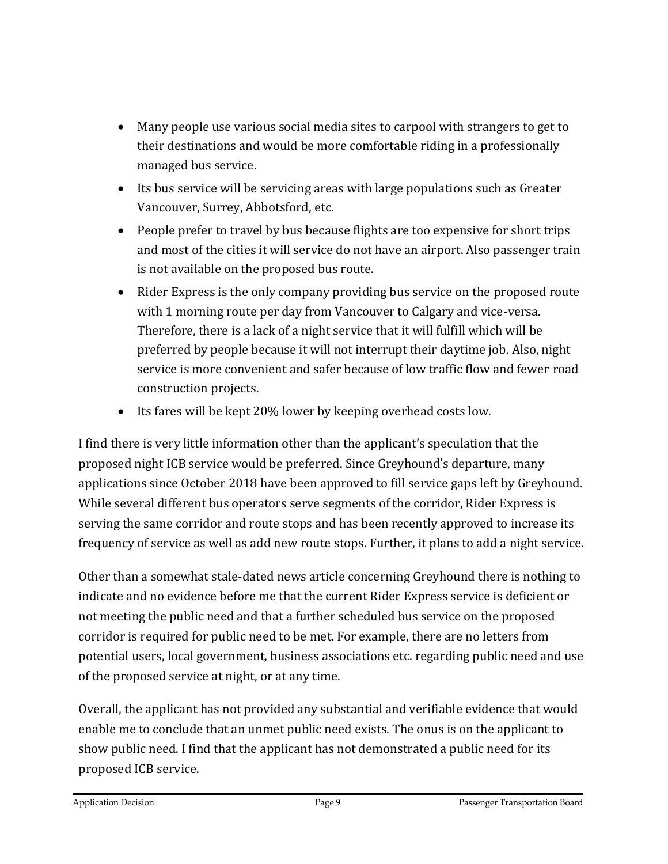- Many people use various social media sites to carpool with strangers to get to their destinations and would be more comfortable riding in a professionally managed bus service.
- Its bus service will be servicing areas with large populations such as Greater Vancouver, Surrey, Abbotsford, etc.
- People prefer to travel by bus because flights are too expensive for short trips and most of the cities it will service do not have an airport. Also passenger train is not available on the proposed bus route.
- Rider Express is the only company providing bus service on the proposed route with 1 morning route per day from Vancouver to Calgary and vice-versa. Therefore, there is a lack of a night service that it will fulfill which will be preferred by people because it will not interrupt their daytime job. Also, night service is more convenient and safer because of low traffic flow and fewer road construction projects.
- Its fares will be kept 20% lower by keeping overhead costs low.

I find there is very little information other than the applicant's speculation that the proposed night ICB service would be preferred. Since Greyhound's departure, many applications since October 2018 have been approved to fill service gaps left by Greyhound. While several different bus operators serve segments of the corridor, Rider Express is serving the same corridor and route stops and has been recently approved to increase its frequency of service as well as add new route stops. Further, it plans to add a night service.

Other than a somewhat stale-dated news article concerning Greyhound there is nothing to indicate and no evidence before me that the current Rider Express service is deficient or not meeting the public need and that a further scheduled bus service on the proposed corridor is required for public need to be met. For example, there are no letters from potential users, local government, business associations etc. regarding public need and use of the proposed service at night, or at any time.

Overall, the applicant has not provided any substantial and verifiable evidence that would enable me to conclude that an unmet public need exists. The onus is on the applicant to show public need. I find that the applicant has not demonstrated a public need for its proposed ICB service.